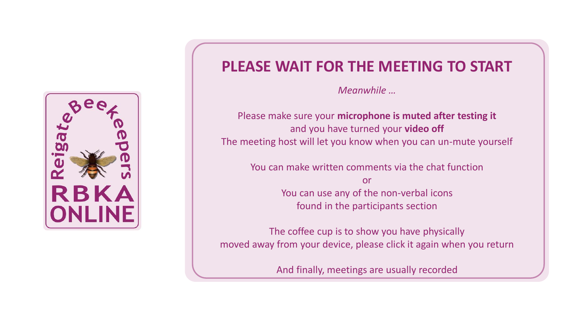

## **PLEASE WAIT FOR THE MEETING TO START**

*Meanwhile …*

Please make sure your **microphone is muted after testing it** and you have turned your **video off** The meeting host will let you know when you can un-mute yourself

You can make written comments via the chat function

or You can use any of the non-verbal icons found in the participants section

The coffee cup is to show you have physically moved away from your device, please click it again when you return

And finally, meetings are usually recorded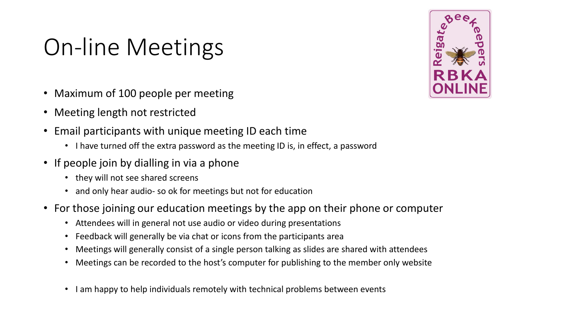## On-line Meetings

- Maximum of 100 people per meeting
- Meeting length not restricted
- Email participants with unique meeting ID each time
	- I have turned off the extra password as the meeting ID is, in effect, a password
- If people join by dialling in via a phone
	- they will not see shared screens
	- and only hear audio- so ok for meetings but not for education
- For those joining our education meetings by the app on their phone or computer
	- Attendees will in general not use audio or video during presentations
	- Feedback will generally be via chat or icons from the participants area
	- Meetings will generally consist of a single person talking as slides are shared with attendees
	- Meetings can be recorded to the host's computer for publishing to the member only website
	- I am happy to help individuals remotely with technical problems between events

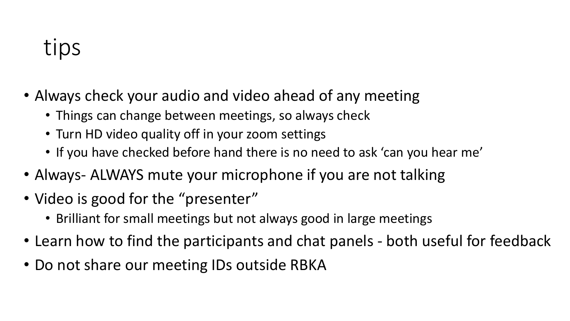## tips

- Always check your audio and video ahead of any meeting
	- Things can change between meetings, so always check
	- Turn HD video quality off in your zoom settings
	- If you have checked before hand there is no need to ask 'can you hear me'
- Always- ALWAYS mute your microphone if you are not talking
- Video is good for the "presenter"
	- Brilliant for small meetings but not always good in large meetings
- Learn how to find the participants and chat panels both useful for feedback
- Do not share our meeting IDs outside RBKA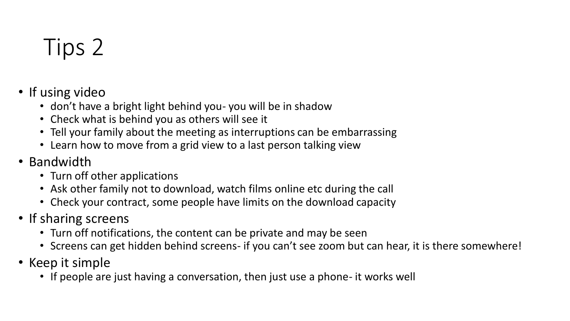## Tips 2

- If using video
	- don't have a bright light behind you- you will be in shadow
	- Check what is behind you as others will see it
	- Tell your family about the meeting as interruptions can be embarrassing
	- Learn how to move from a grid view to a last person talking view
- Bandwidth
	- Turn off other applications
	- Ask other family not to download, watch films online etc during the call
	- Check your contract, some people have limits on the download capacity
- If sharing screens
	- Turn off notifications, the content can be private and may be seen
	- Screens can get hidden behind screens- if you can't see zoom but can hear, it is there somewhere!
- Keep it simple
	- If people are just having a conversation, then just use a phone- it works well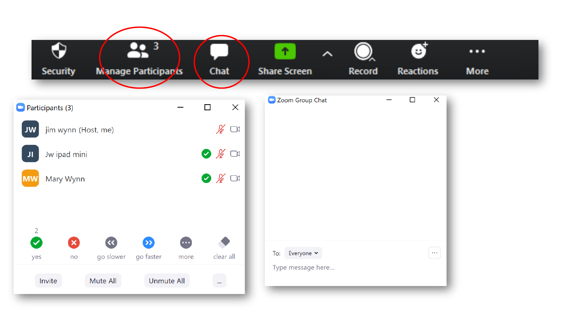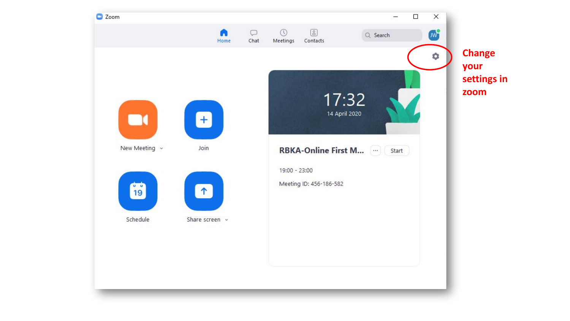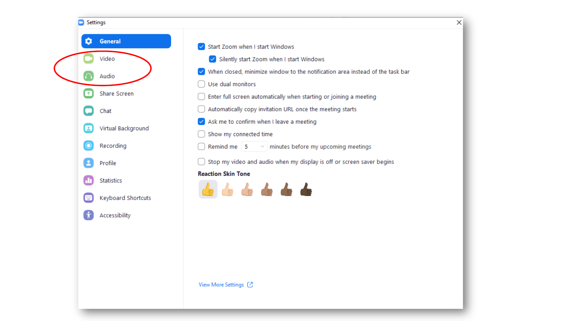